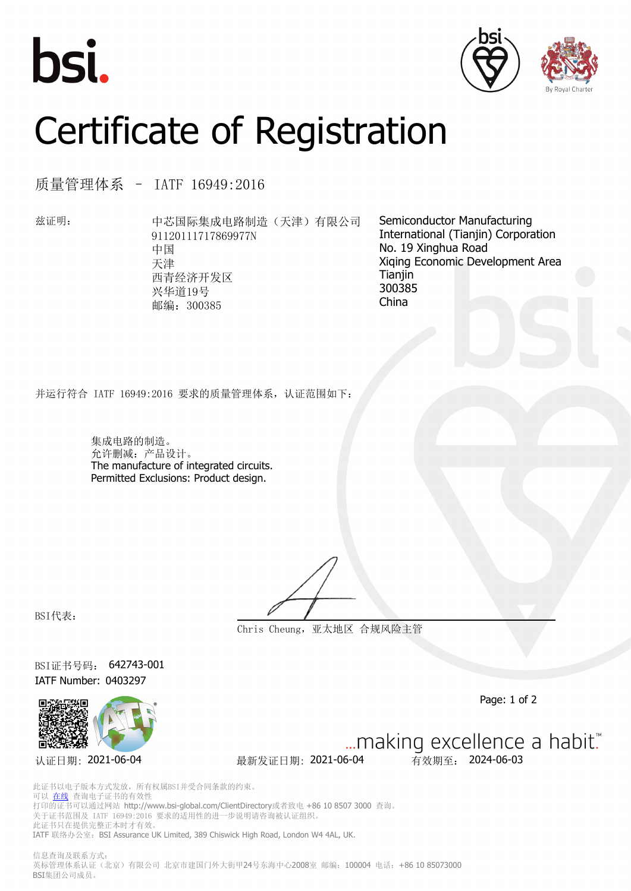





## Certificate of Registration

质量管理体系 – IATF 16949:2016

兹证明: 中芯国际集成电路制造(天津)有限公司 91120111717869977N 中国 天津 西青经济开发区 兴华道19号 邮编:300385

Semiconductor Manufacturing International (Tianjin) Corporation No. 19 Xinghua Road Xiqing Economic Development Area Tianiin 300385 China

并运行符合 IATF 16949:2016 要求的质量管理体系,认证范围如下:

集成电路的制造。 允许删减:产品设计。 The manufacture of integrated circuits. Permitted Exclusions: Product design.

BSI代表:

**Chris Cheung,亚太地区 合规风险主管**

BSI证书号码: 642743-001 IATF Number: 0403297



Page: 1 of 2

**认证日期: 2021-06-04 最新发证日期: 2021-06-04 有效期至: 2024-06-03** 

... making excellence a habit."

此证书以电子版本方式发放,所有权属BSI并受合同条款的约束。 可以 [在线](https://pgplus.bsigroup.com/CertificateValidation/CertificateValidator.aspx?CertificateNumber=642743-001&ReIssueDate=04%2f06%2f2021&Template=cn) 查询电子证书的有效性 打印的证书可以通过网站 http://www.bsi-global.com/ClientDirectory或者致电 +86 10 8507 3000 查询。 关于证书范围及 IATF 16949:2016 要求的适用性的进一步说明请咨询被认证组织。 此证书只在提供完整正本时才有效。 IATF 联络办公室: BSI Assurance UK Limited, 389 Chiswick High Road, London W4 4AL, UK.